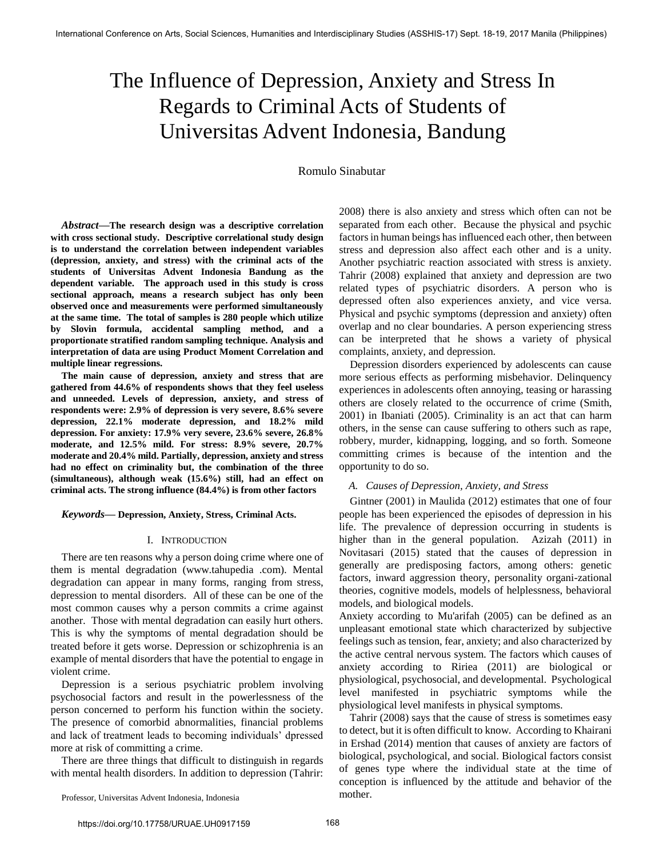# The Influence of Depression, Anxiety and Stress In Regards to Criminal Acts of Students of Universitas Advent Indonesia, Bandung

Romulo Sinabutar

*Abstract***—The research design was a descriptive correlation with cross sectional study. Descriptive correlational study design is to understand the correlation between independent variables (depression, anxiety, and stress) with the criminal acts of the students of Universitas Advent Indonesia Bandung as the dependent variable. The approach used in this study is cross sectional approach, means a research subject has only been observed once and measurements were performed simultaneously at the same time. The total of samples is 280 people which utilize by Slovin formula, accidental sampling method, and a proportionate stratified random sampling technique. Analysis and interpretation of data are using Product Moment Correlation and multiple linear regressions.** 

**The main cause of depression, anxiety and stress that are gathered from 44.6% of respondents shows that they feel useless and unneeded. Levels of depression, anxiety, and stress of respondents were: 2.9% of depression is very severe, 8.6% severe depression, 22.1% moderate depression, and 18.2% mild depression. For anxiety: 17.9% very severe, 23.6% severe, 26.8% moderate, and 12.5% mild. For stress: 8.9% severe, 20.7% moderate and 20.4% mild. Partially, depression, anxiety and stress had no effect on criminality but, the combination of the three (simultaneous), although weak (15.6%) still, had an effect on criminal acts. The strong influence (84.4%) is from other factors** 

*Keywords***— Depression, Anxiety, Stress, Criminal Acts.** 

#### I. INTRODUCTION

There are ten reasons why a person doing crime where one of them is mental degradation (www.tahupedia .com). Mental degradation can appear in many forms, ranging from stress, depression to mental disorders. All of these can be one of the most common causes why a person commits a crime against another. Those with mental degradation can easily hurt others. This is why the symptoms of mental degradation should be treated before it gets worse. Depression or schizophrenia is an example of mental disorders that have the potential to engage in violent crime.

Depression is a serious psychiatric problem involving psychosocial factors and result in the powerlessness of the person concerned to perform his function within the society. The presence of comorbid abnormalities, financial problems and lack of treatment leads to becoming individuals' dpressed more at risk of committing a crime.

There are three things that difficult to distinguish in regards with mental health disorders. In addition to depression (Tahrir: 2008) there is also anxiety and stress which often can not be separated from each other. Because the physical and psychic factors in human beings has influenced each other, then between stress and depression also affect each other and is a unity. Another psychiatric reaction associated with stress is anxiety. Tahrir (2008) explained that anxiety and depression are two related types of psychiatric disorders. A person who is depressed often also experiences anxiety, and vice versa. Physical and psychic symptoms (depression and anxiety) often overlap and no clear boundaries. A person experiencing stress can be interpreted that he shows a variety of physical complaints, anxiety, and depression.

Depression disorders experienced by adolescents can cause more serious effects as performing misbehavior. Delinquency experiences in adolescents often annoying, teasing or harassing others are closely related to the occurrence of crime (Smith, 2001) in Ibaniati (2005). Criminality is an act that can harm others, in the sense can cause suffering to others such as rape, robbery, murder, kidnapping, logging, and so forth. Someone committing crimes is because of the intention and the opportunity to do so.

# *A. Causes of Depression, Anxiety, and Stress*

Gintner (2001) in Maulida (2012) estimates that one of four people has been experienced the episodes of depression in his life. The prevalence of depression occurring in students is higher than in the general population. Azizah (2011) in Novitasari (2015) stated that the causes of depression in generally are predisposing factors, among others: genetic factors, inward aggression theory, personality organi-zational theories, cognitive models, models of helplessness, behavioral models, and biological models.

Anxiety according to Mu'arifah (2005) can be defined as an unpleasant emotional state which characterized by subjective feelings such as tension, fear, anxiety; and also characterized by the active central nervous system. The factors which causes of anxiety according to Ririea (2011) are biological or physiological, psychosocial, and developmental. Psychological level manifested in psychiatric symptoms while the physiological level manifests in physical symptoms.

Tahrir (2008) says that the cause of stress is sometimes easy to detect, but it is often difficult to know. According to Khairani in Ershad (2014) mention that causes of anxiety are factors of biological, psychological, and social. Biological factors consist of genes type where the individual state at the time of conception is influenced by the attitude and behavior of the mother.

Professor, Universitas Advent Indonesia, Indonesia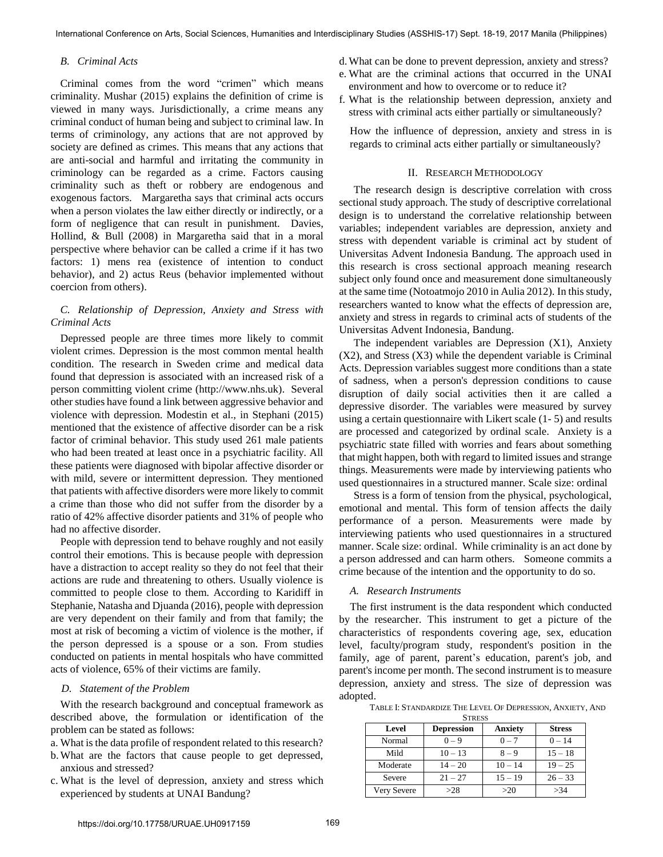## *B. Criminal Acts*

Criminal comes from the word "crimen" which means criminality. Mushar (2015) explains the definition of crime is viewed in many ways. Jurisdictionally, a crime means any criminal conduct of human being and subject to criminal law. In terms of criminology, any actions that are not approved by society are defined as crimes. This means that any actions that are anti-social and harmful and irritating the community in criminology can be regarded as a crime. Factors causing criminality such as theft or robbery are endogenous and exogenous factors. Margaretha says that criminal acts occurs when a person violates the law either directly or indirectly, or a form of negligence that can result in punishment. Davies, Hollind, & Bull (2008) in Margaretha said that in a moral perspective where behavior can be called a crime if it has two factors: 1) mens rea (existence of intention to conduct behavior), and 2) actus Reus (behavior implemented without coercion from others).

# *C. Relationship of Depression, Anxiety and Stress with Criminal Acts*

Depressed people are three times more likely to commit violent crimes. Depression is the most common mental health condition. The research in Sweden crime and medical data found that depression is associated with an increased risk of a person committing violent crime [\(http://www.nhs.uk\)](http://www.nhs.uk/). Several other studies have found a link between aggressive behavior and violence with depression. Modestin et al., in Stephani (2015) mentioned that the existence of affective disorder can be a risk factor of criminal behavior. This study used 261 male patients who had been treated at least once in a psychiatric facility. All these patients were diagnosed with bipolar affective disorder or with mild, severe or intermittent depression. They mentioned that patients with affective disorders were more likely to commit a crime than those who did not suffer from the disorder by a ratio of 42% affective disorder patients and 31% of people who had no affective disorder.

People with depression tend to behave roughly and not easily control their emotions. This is because people with depression have a distraction to accept reality so they do not feel that their actions are rude and threatening to others. Usually violence is committed to people close to them. According to Karidiff in Stephanie, Natasha and Djuanda (2016), people with depression are very dependent on their family and from that family; the most at risk of becoming a victim of violence is the mother, if the person depressed is a spouse or a son. From studies conducted on patients in mental hospitals who have committed acts of violence, 65% of their victims are family.

# *D. Statement of the Problem*

With the research background and conceptual framework as described above, the formulation or identification of the problem can be stated as follows:

- a. What is the data profile of respondent related to this research?
- b.What are the factors that cause people to get depressed, anxious and stressed?
- c. What is the level of depression, anxiety and stress which experienced by students at UNAI Bandung?
- d.What can be done to prevent depression, anxiety and stress?
- e. What are the criminal actions that occurred in the UNAI environment and how to overcome or to reduce it?
- f. What is the relationship between depression, anxiety and stress with criminal acts either partially or simultaneously?

How the influence of depression, anxiety and stress in is regards to criminal acts either partially or simultaneously?

### II. RESEARCH METHODOLOGY

The research design is descriptive correlation with cross sectional study approach. The study of descriptive correlational design is to understand the correlative relationship between variables; independent variables are depression, anxiety and stress with dependent variable is criminal act by student of Universitas Advent Indonesia Bandung. The approach used in this research is cross sectional approach meaning research subject only found once and measurement done simultaneously at the same time (Notoatmojo 2010 in Aulia 2012). In this study, researchers wanted to know what the effects of depression are, anxiety and stress in regards to criminal acts of students of the Universitas Advent Indonesia, Bandung.

The independent variables are Depression (X1), Anxiety (X2), and Stress (X3) while the dependent variable is Criminal Acts. Depression variables suggest more conditions than a state of sadness, when a person's depression conditions to cause disruption of daily social activities then it are called a depressive disorder. The variables were measured by survey using a certain questionnaire with Likert scale (1- 5) and results are processed and categorized by ordinal scale. Anxiety is a psychiatric state filled with worries and fears about something that might happen, both with regard to limited issues and strange things. Measurements were made by interviewing patients who used questionnaires in a structured manner. Scale size: ordinal

Stress is a form of tension from the physical, psychological, emotional and mental. This form of tension affects the daily performance of a person. Measurements were made by interviewing patients who used questionnaires in a structured manner. Scale size: ordinal. While criminality is an act done by a person addressed and can harm others. Someone commits a crime because of the intention and the opportunity to do so.

#### *A. Research Instruments*

The first instrument is the data respondent which conducted by the researcher. This instrument to get a picture of the characteristics of respondents covering age, sex, education level, faculty/program study, respondent's position in the family, age of parent, parent's education, parent's job, and parent's income per month. The second instrument is to measure depression, anxiety and stress. The size of depression was adopted.

TABLE I: STANDARDIZE THE LEVEL OF DEPRESSION, ANXIETY, AND

| <b>STRESS</b> |                   |                |               |
|---------------|-------------------|----------------|---------------|
| Level         | <b>Depression</b> | <b>Anxiety</b> | <b>Stress</b> |
| Normal        | $0 - 9$           | $0 - 7$        | $0 - 14$      |
| Mild          | $10 - 13$         | $8 - 9$        | $15 - 18$     |
| Moderate      | $14 - 20$         | $10 - 14$      | $19 - 25$     |
| Severe        | $21 - 27$         | $15 - 19$      | $26 - 33$     |
| Very Severe   | >28               | >20            | >34           |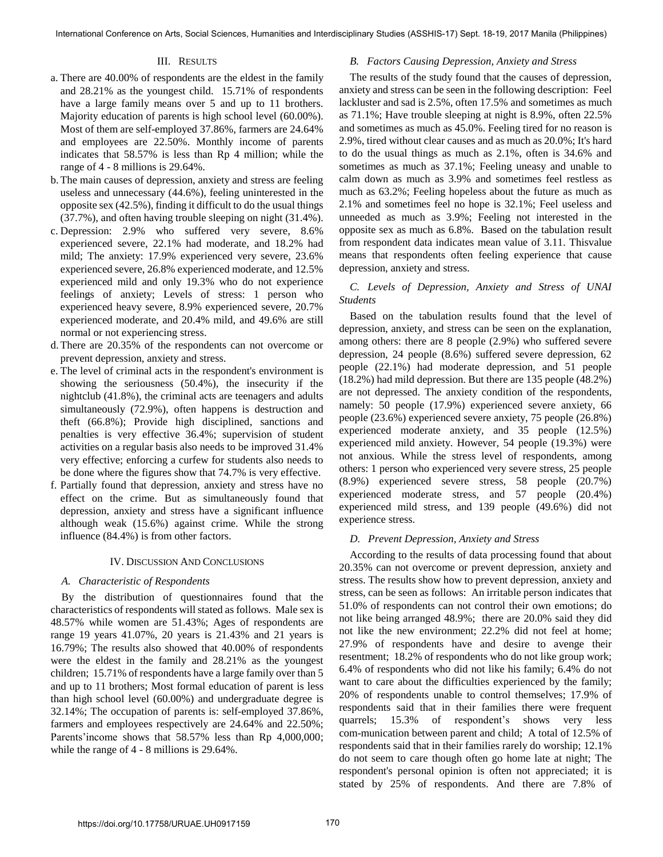## III. RESULTS

- a. There are 40.00% of respondents are the eldest in the family and 28.21% as the youngest child. 15.71% of respondents have a large family means over 5 and up to 11 brothers. Majority education of parents is high school level (60.00%). Most of them are self-employed 37.86%, farmers are 24.64% and employees are 22.50%. Monthly income of parents indicates that 58.57% is less than Rp 4 million; while the range of 4 - 8 millions is 29.64%.
- b.The main causes of depression, anxiety and stress are feeling useless and unnecessary (44.6%), feeling uninterested in the opposite sex (42.5%), finding it difficult to do the usual things (37.7%), and often having trouble sleeping on night (31.4%).
- c. Depression: 2.9% who suffered very severe, 8.6% experienced severe, 22.1% had moderate, and 18.2% had mild; The anxiety: 17.9% experienced very severe, 23.6% experienced severe, 26.8% experienced moderate, and 12.5% experienced mild and only 19.3% who do not experience feelings of anxiety; Levels of stress: 1 person who experienced heavy severe, 8.9% experienced severe, 20.7% experienced moderate, and 20.4% mild, and 49.6% are still normal or not experiencing stress.
- d.There are 20.35% of the respondents can not overcome or prevent depression, anxiety and stress.
- e. The level of criminal acts in the respondent's environment is showing the seriousness (50.4%), the insecurity if the nightclub (41.8%), the criminal acts are teenagers and adults simultaneously (72.9%), often happens is destruction and theft (66.8%); Provide high disciplined, sanctions and penalties is very effective 36.4%; supervision of student activities on a regular basis also needs to be improved 31.4% very effective; enforcing a curfew for students also needs to be done where the figures show that 74.7% is very effective.
- f. Partially found that depression, anxiety and stress have no effect on the crime. But as simultaneously found that depression, anxiety and stress have a significant influence although weak (15.6%) against crime. While the strong influence (84.4%) is from other factors.

# IV. DISCUSSION AND CONCLUSIONS

# *A. Characteristic of Respondents*

By the distribution of questionnaires found that the characteristics of respondents will stated as follows. Male sex is 48.57% while women are 51.43%; Ages of respondents are range 19 years 41.07%, 20 years is 21.43% and 21 years is 16.79%; The results also showed that 40.00% of respondents were the eldest in the family and 28.21% as the youngest children; 15.71% of respondents have a large family over than 5 and up to 11 brothers; Most formal education of parent is less than high school level (60.00%) and undergraduate degree is 32.14%; The occupation of parents is: self-employed 37.86%, farmers and employees respectively are 24.64% and 22.50%; Parents'income shows that 58.57% less than Rp 4,000,000; while the range of 4 - 8 millions is 29.64%.

## *B. Factors Causing Depression, Anxiety and Stress*

The results of the study found that the causes of depression, anxiety and stress can be seen in the following description: Feel lackluster and sad is 2.5%, often 17.5% and sometimes as much as 71.1%; Have trouble sleeping at night is 8.9%, often 22.5% and sometimes as much as 45.0%. Feeling tired for no reason is 2.9%, tired without clear causes and as much as 20.0%; It's hard to do the usual things as much as 2.1%, often is 34.6% and sometimes as much as 37.1%; Feeling uneasy and unable to calm down as much as 3.9% and sometimes feel restless as much as 63.2%; Feeling hopeless about the future as much as 2.1% and sometimes feel no hope is 32.1%; Feel useless and unneeded as much as 3.9%; Feeling not interested in the opposite sex as much as 6.8%. Based on the tabulation result from respondent data indicates mean value of 3.11. Thisvalue means that respondents often feeling experience that cause depression, anxiety and stress.

# *C. Levels of Depression, Anxiety and Stress of UNAI Students*

Based on the tabulation results found that the level of depression, anxiety, and stress can be seen on the explanation, among others: there are 8 people (2.9%) who suffered severe depression, 24 people (8.6%) suffered severe depression, 62 people (22.1%) had moderate depression, and 51 people (18.2%) had mild depression. But there are 135 people (48.2%) are not depressed. The anxiety condition of the respondents, namely: 50 people (17.9%) experienced severe anxiety, 66 people (23.6%) experienced severe anxiety, 75 people (26.8%) experienced moderate anxiety, and 35 people (12.5%) experienced mild anxiety. However, 54 people (19.3%) were not anxious. While the stress level of respondents, among others: 1 person who experienced very severe stress, 25 people (8.9%) experienced severe stress, 58 people (20.7%) experienced moderate stress, and 57 people (20.4%) experienced mild stress, and 139 people (49.6%) did not experience stress.

# *D. Prevent Depression, Anxiety and Stress*

According to the results of data processing found that about 20.35% can not overcome or prevent depression, anxiety and stress. The results show how to prevent depression, anxiety and stress, can be seen as follows: An irritable person indicates that 51.0% of respondents can not control their own emotions; do not like being arranged 48.9%; there are 20.0% said they did not like the new environment; 22.2% did not feel at home; 27.9% of respondents have and desire to avenge their resentment; 18.2% of respondents who do not like group work; 6.4% of respondents who did not like his family; 6.4% do not want to care about the difficulties experienced by the family; 20% of respondents unable to control themselves; 17.9% of respondents said that in their families there were frequent quarrels; 15.3% of respondent's shows very less com-munication between parent and child; A total of 12.5% of respondents said that in their families rarely do worship; 12.1% do not seem to care though often go home late at night; The respondent's personal opinion is often not appreciated; it is stated by 25% of respondents. And there are 7.8% of